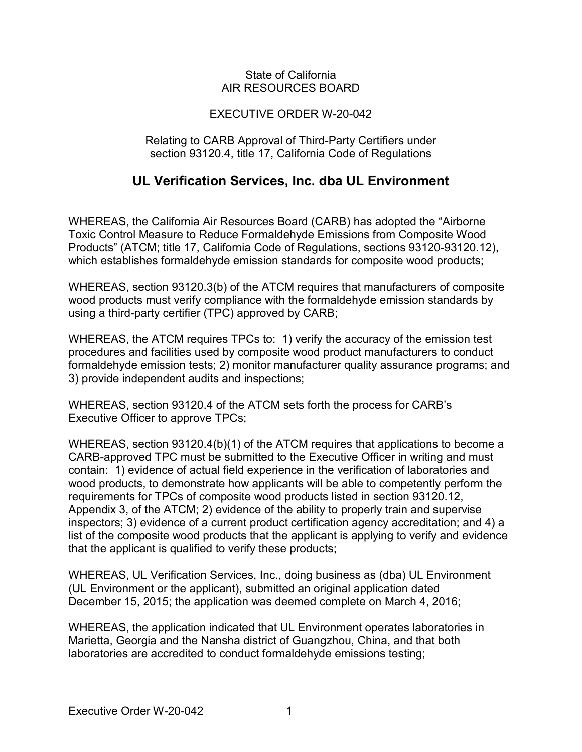## State of California AIR RESOURCES BOARD

## EXECUTIVE ORDER W-20-042

## Relating to CARB Approval of Third-Party Certifiers under section 93120.4, title 17, California Code of Regulations

## **UL Verification Services, Inc. dba UL Environment**

 which establishes formaldehyde emission standards for composite wood products; WHEREAS, the California Air Resources Board (CARB) has adopted the "Airborne Toxic Control Measure to Reduce Formaldehyde Emissions from Composite Wood Products" (ATCM; title 17, California Code of Regulations, sections 93120-93120.12),

 using a third-party certifier (TPC) approved by CARB; WHEREAS, section 93120.3(b) of the ATCM requires that manufacturers of composite wood products must verify compliance with the formaldehyde emission standards by

 WHEREAS, the ATCM requires TPCs to: 1) verify the accuracy of the emission test procedures and facilities used by composite wood product manufacturers to conduct formaldehyde emission tests; 2) monitor manufacturer quality assurance programs; and 3) provide independent audits and inspections;

 WHEREAS, section 93120.4 of the ATCM sets forth the process for CARB's Executive Officer to approve TPCs;

 CARB-approved TPC must be submitted to the Executive Officer in writing and must contain: 1) evidence of actual field experience in the verification of laboratories and that the applicant is qualified to verify these products; WHEREAS, section 93120.4(b)(1) of the ATCM requires that applications to become a wood products, to demonstrate how applicants will be able to competently perform the requirements for TPCs of composite wood products listed in section 93120.12, Appendix 3, of the ATCM; 2) evidence of the ability to properly train and supervise inspectors; 3) evidence of a current product certification agency accreditation; and 4) a list of the composite wood products that the applicant is applying to verify and evidence

 WHEREAS, UL Verification Services, Inc., doing business as (dba) UL Environment December 15, 2015; the application was deemed complete on March 4, 2016; (UL Environment or the applicant), submitted an original application dated

 Marietta, Georgia and the Nansha district of Guangzhou, China, and that both WHEREAS, the application indicated that UL Environment operates laboratories in laboratories are accredited to conduct formaldehyde emissions testing;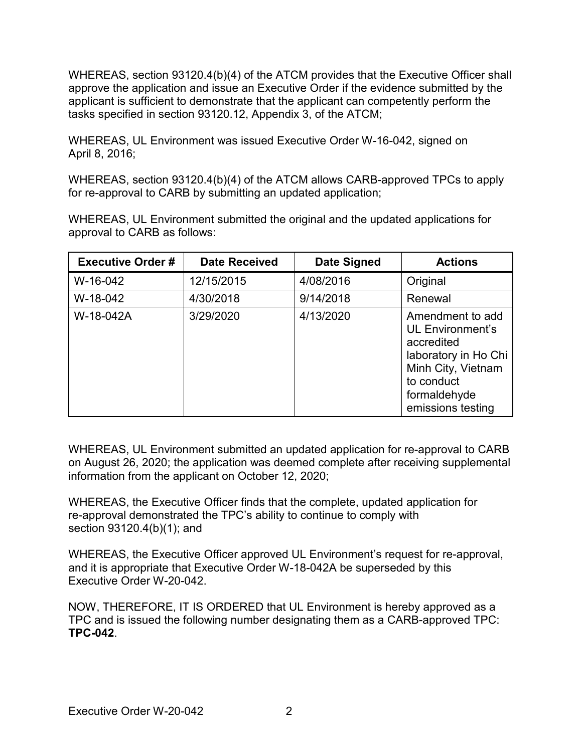WHEREAS, section 93120.4(b)(4) of the ATCM provides that the Executive Officer shall tasks specified in section 93120.12, Appendix 3, of the ATCM; approve the application and issue an Executive Order if the evidence submitted by the applicant is sufficient to demonstrate that the applicant can competently perform the

 WHEREAS, UL Environment was issued Executive Order W-16-042, signed on April 8, 2016;

 WHEREAS, section 93120.4(b)(4) of the ATCM allows CARB-approved TPCs to apply for re-approval to CARB by submitting an updated application;

 WHEREAS, UL Environment submitted the original and the updated applications for approval to CARB as follows:

| <b>Executive Order #</b> | <b>Date Received</b> | Date Signed | <b>Actions</b>                                                                                                                                             |
|--------------------------|----------------------|-------------|------------------------------------------------------------------------------------------------------------------------------------------------------------|
| W-16-042                 | 12/15/2015           | 4/08/2016   | Original                                                                                                                                                   |
| W-18-042                 | 4/30/2018            | 9/14/2018   | Renewal                                                                                                                                                    |
| W-18-042A                | 3/29/2020            | 4/13/2020   | Amendment to add<br><b>UL Environment's</b><br>accredited<br>laboratory in Ho Chi<br>Minh City, Vietnam<br>to conduct<br>formaldehyde<br>emissions testing |

 on August 26, 2020; the application was deemed complete after receiving supplemental WHEREAS, UL Environment submitted an updated application for re-approval to CARB information from the applicant on October 12, 2020;

 section 93120.4(b)(1); and WHEREAS, the Executive Officer finds that the complete, updated application for re-approval demonstrated the TPC's ability to continue to comply with

 and it is appropriate that Executive Order W-18-042A be superseded by this Executive Order W-20-042. WHEREAS, the Executive Officer approved UL Environment's request for re-approval,

 NOW, THEREFORE, IT IS ORDERED that UL Environment is hereby approved as a TPC and is issued the following number designating them as a CARB-approved TPC: **TPC-042**.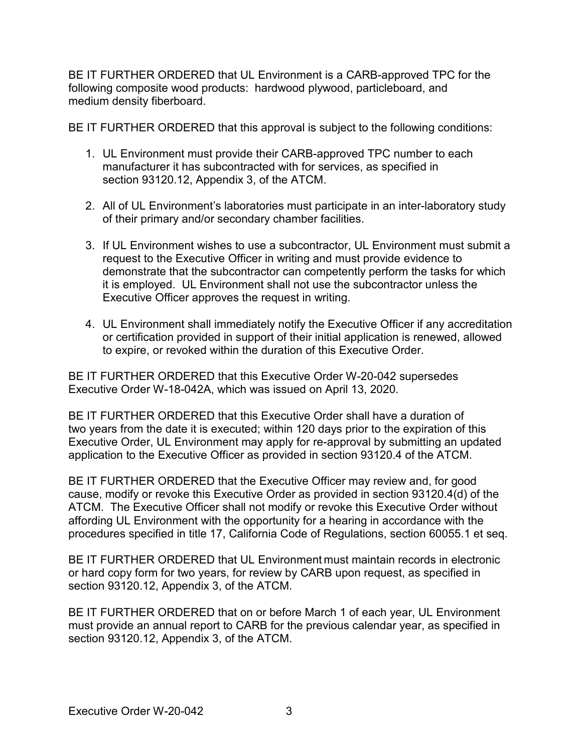BE IT FURTHER ORDERED that UL Environment is a CARB-approved TPC for the following composite wood products: hardwood plywood, particleboard, and medium density fiberboard.

medium density fiberboard.<br>BE IT FURTHER ORDERED that this approval is subject to the following conditions:

- 1. UL Environment must provide their CARB-approved TPC number to each section 93120.12, Appendix 3, of the ATCM. manufacturer it has subcontracted with for services, as specified in
- 2. All of UL Environment's laboratories must participate in an inter-laboratory study of their primary and/or secondary chamber facilities.
- request to the Executive Officer in writing and must provide evidence to it is employed. UL Environment shall not use the subcontractor unless the Executive Officer approves the request in writing. 3. If UL Environment wishes to use a subcontractor, UL Environment must submit a demonstrate that the subcontractor can competently perform the tasks for which
- to expire, or revoked within the duration of this Executive Order. 4. UL Environment shall immediately notify the Executive Officer if any accreditation or certification provided in support of their initial application is renewed, allowed

 BE IT FURTHER ORDERED that this Executive Order W-20-042 supersedes Executive Order W-18-042A, which was issued on April 13, 2020.

 application to the Executive Officer as provided in section 93120.4 of the ATCM. BE IT FURTHER ORDERED that this Executive Order shall have a duration of two years from the date it is executed; within 120 days prior to the expiration of this Executive Order, UL Environment may apply for re-approval by submitting an updated

 BE IT FURTHER ORDERED that the Executive Officer may review and, for good ATCM. The Executive Officer shall not modify or revoke this Executive Order without procedures specified in title 17, California Code of Regulations, section 60055.1 et seq. cause, modify or revoke this Executive Order as provided in section 93120.4(d) of the affording UL Environment with the opportunity for a hearing in accordance with the

 or hard copy form for two years, for review by CARB upon request, as specified in section 93120.12, Appendix 3, of the ATCM. BE IT FURTHER ORDERED that UL Environment must maintain records in electronic

 BE IT FURTHER ORDERED that on or before March 1 of each year, UL Environment section [93120.12,](https://93120.12) Appendix 3, of the ATCM. must provide an annual report to CARB for the previous calendar year, as specified in